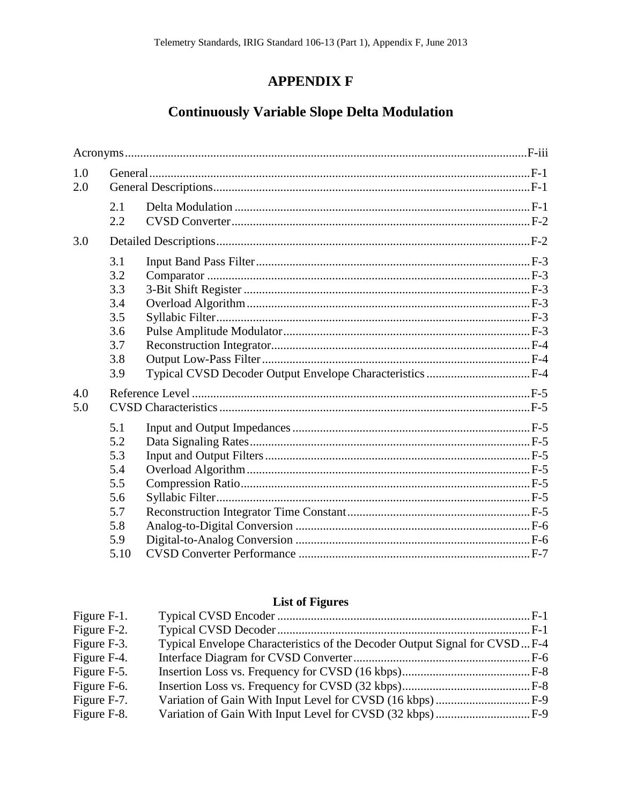# **APPENDIX F**

# **Continuously Variable Slope Delta Modulation**

| 1.0 |      |  |  |
|-----|------|--|--|
| 2.0 |      |  |  |
|     | 2.1  |  |  |
|     | 2.2  |  |  |
| 3.0 |      |  |  |
|     | 3.1  |  |  |
|     | 3.2  |  |  |
|     | 3.3  |  |  |
|     | 3.4  |  |  |
|     | 3.5  |  |  |
|     | 3.6  |  |  |
|     | 3.7  |  |  |
|     | 3.8  |  |  |
|     | 3.9  |  |  |
| 4.0 |      |  |  |
| 5.0 |      |  |  |
|     | 5.1  |  |  |
|     | 5.2  |  |  |
|     | 5.3  |  |  |
|     | 5.4  |  |  |
|     | 5.5  |  |  |
|     | 5.6  |  |  |
|     | 5.7  |  |  |
|     | 5.8  |  |  |
|     | 5.9  |  |  |
|     | 5.10 |  |  |

#### **List of Figures**

| Figure F-1. |                                                                           |  |
|-------------|---------------------------------------------------------------------------|--|
| Figure F-2. |                                                                           |  |
| Figure F-3. | Typical Envelope Characteristics of the Decoder Output Signal for CVSDF-4 |  |
| Figure F-4. |                                                                           |  |
| Figure F-5. |                                                                           |  |
| Figure F-6. |                                                                           |  |
| Figure F-7. |                                                                           |  |
| Figure F-8. |                                                                           |  |
|             |                                                                           |  |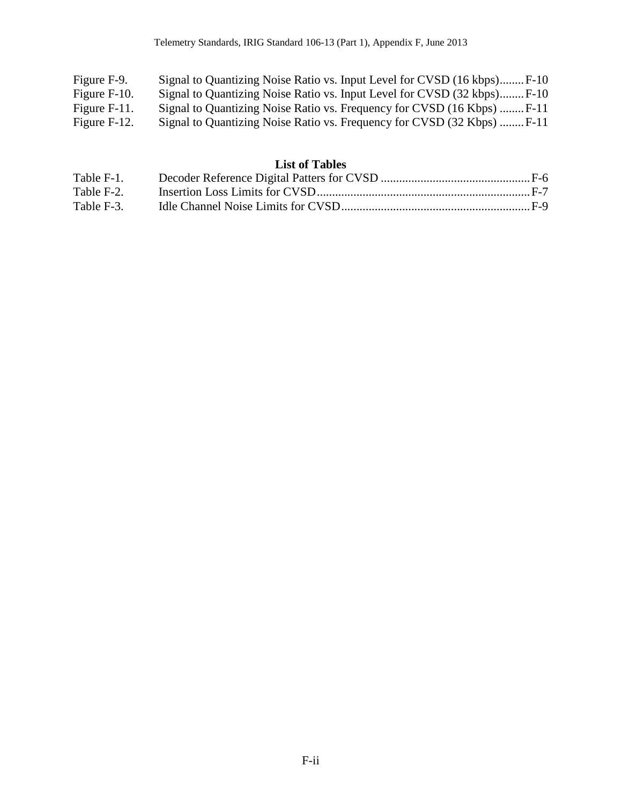| Figure F-9.  | Signal to Quantizing Noise Ratio vs. Input Level for CVSD (16 kbps) F-10 |
|--------------|--------------------------------------------------------------------------|
| Figure F-10. | Signal to Quantizing Noise Ratio vs. Input Level for CVSD (32 kbps) F-10 |
| Figure F-11. | Signal to Quantizing Noise Ratio vs. Frequency for CVSD (16 Kbps)  F-11  |
| Figure F-12. | Signal to Quantizing Noise Ratio vs. Frequency for CVSD (32 Kbps)  F-11  |

# **List of Tables**

| Table F-1. |  |
|------------|--|
| Table F-2. |  |
| Table F-3. |  |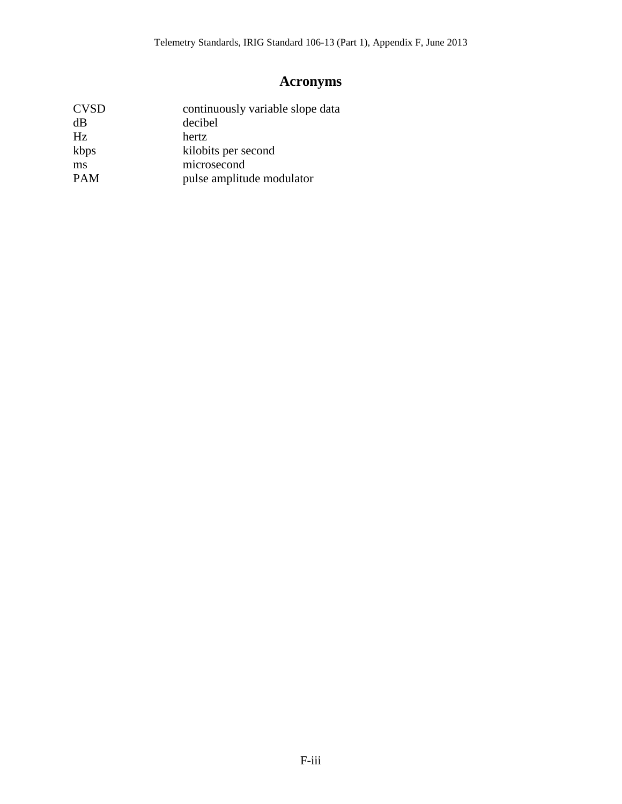# <span id="page-2-0"></span>**Acronyms**

| <b>CVSD</b> | continuously variable slope data |
|-------------|----------------------------------|
| dB          | decibel                          |
| Hz          | hertz                            |
| kbps        | kilobits per second              |
| ms          | microsecond                      |
| <b>PAM</b>  | pulse amplitude modulator        |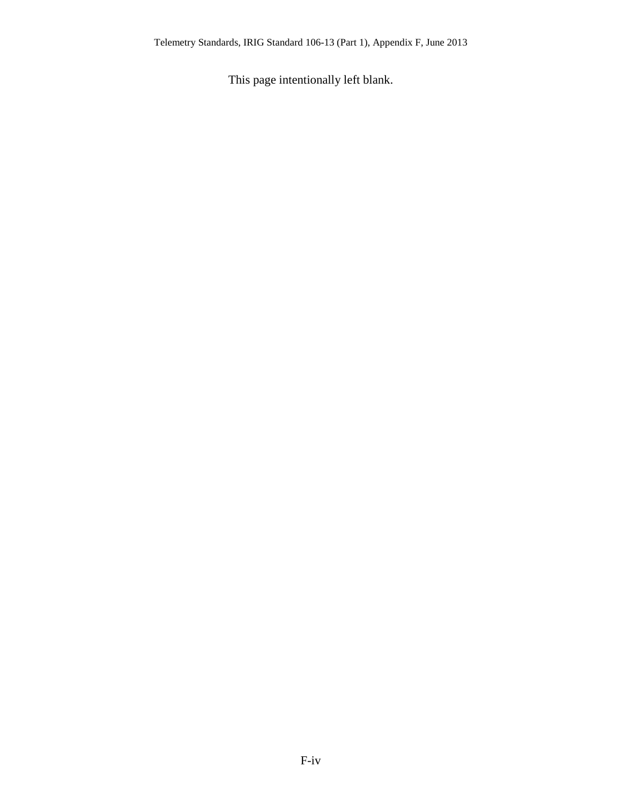This page intentionally left blank.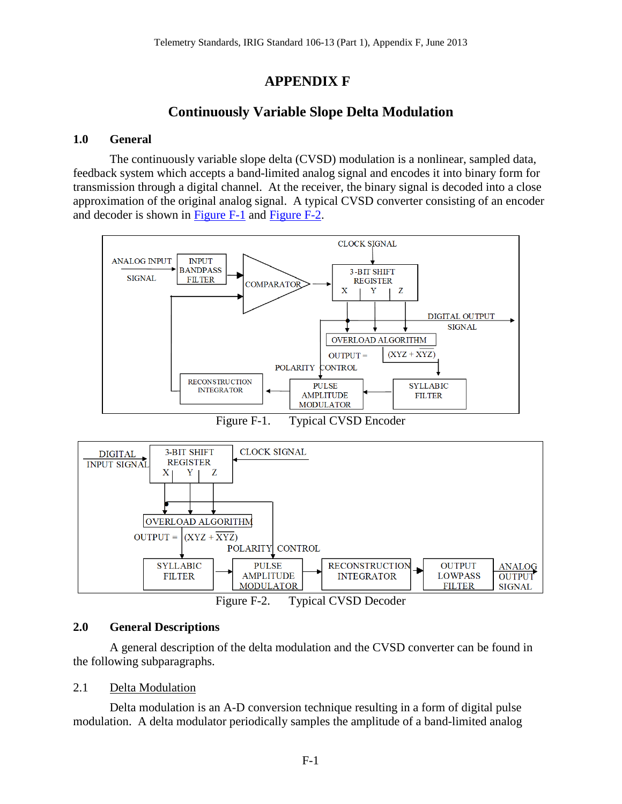# **APPENDIX F**

# **Continuously Variable Slope Delta Modulation**

#### <span id="page-4-0"></span>**1.0 General**

The continuously variable slope delta (CVSD) modulation is a nonlinear, sampled data, feedback system which accepts a band-limited analog signal and encodes it into binary form for transmission through a digital channel. At the receiver, the binary signal is decoded into a close approximation of the original analog signal. A typical CVSD converter consisting of an encoder and decoder is shown in [Figure F-1](#page-4-3) and [Figure F-2.](#page-4-4)



<span id="page-4-3"></span>

Figure F-2. Typical CVSD Decoder

#### <span id="page-4-4"></span><span id="page-4-1"></span>**2.0 General Descriptions**

A general description of the delta modulation and the CVSD converter can be found in the following subparagraphs.

#### <span id="page-4-2"></span>2.1 Delta Modulation

Delta modulation is an A-D conversion technique resulting in a form of digital pulse modulation. A delta modulator periodically samples the amplitude of a band-limited analog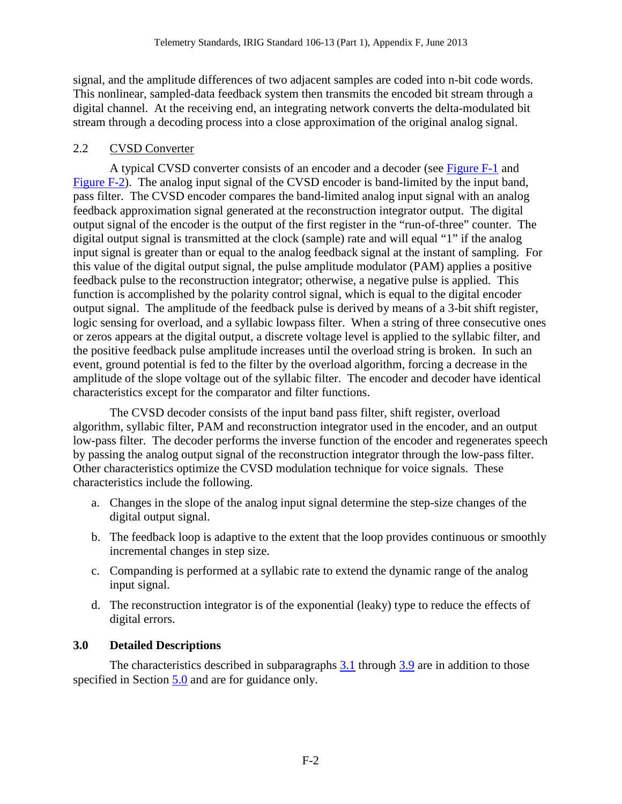signal, and the amplitude differences of two adjacent samples are coded into n-bit code words. This nonlinear, sampled-data feedback system then transmits the encoded bit stream through a digital channel. At the receiving end, an integrating network converts the delta-modulated bit stream through a decoding process into a close approximation of the original analog signal.

# <span id="page-5-0"></span>2.2 CVSD Converter

A typical CVSD converter consists of an encoder and a decoder (see [Figure F-1](#page-4-3) and [Figure F-2\)](#page-4-4). The analog input signal of the CVSD encoder is band-limited by the input band, pass filter. The CVSD encoder compares the band-limited analog input signal with an analog feedback approximation signal generated at the reconstruction integrator output. The digital output signal of the encoder is the output of the first register in the "run-of-three" counter. The digital output signal is transmitted at the clock (sample) rate and will equal "1" if the analog input signal is greater than or equal to the analog feedback signal at the instant of sampling. For this value of the digital output signal, the pulse amplitude modulator (PAM) applies a positive feedback pulse to the reconstruction integrator; otherwise, a negative pulse is applied. This function is accomplished by the polarity control signal, which is equal to the digital encoder output signal. The amplitude of the feedback pulse is derived by means of a 3-bit shift register, logic sensing for overload, and a syllabic lowpass filter. When a string of three consecutive ones or zeros appears at the digital output, a discrete voltage level is applied to the syllabic filter, and the positive feedback pulse amplitude increases until the overload string is broken. In such an event, ground potential is fed to the filter by the overload algorithm, forcing a decrease in the amplitude of the slope voltage out of the syllabic filter. The encoder and decoder have identical characteristics except for the comparator and filter functions.

The CVSD decoder consists of the input band pass filter, shift register, overload algorithm, syllabic filter, PAM and reconstruction integrator used in the encoder, and an output low-pass filter. The decoder performs the inverse function of the encoder and regenerates speech by passing the analog output signal of the reconstruction integrator through the low-pass filter. Other characteristics optimize the CVSD modulation technique for voice signals. These characteristics include the following.

- a. Changes in the slope of the analog input signal determine the step-size changes of the digital output signal.
- b. The feedback loop is adaptive to the extent that the loop provides continuous or smoothly incremental changes in step size.
- c. Companding is performed at a syllabic rate to extend the dynamic range of the analog input signal.
- d. The reconstruction integrator is of the exponential (leaky) type to reduce the effects of digital errors.

# <span id="page-5-1"></span>**3.0 Detailed Descriptions**

The characteristics described in subparagraphs 3.1 through 3.9 are in addition to those specified in Section [5.0](#page-8-1) and are for guidance only.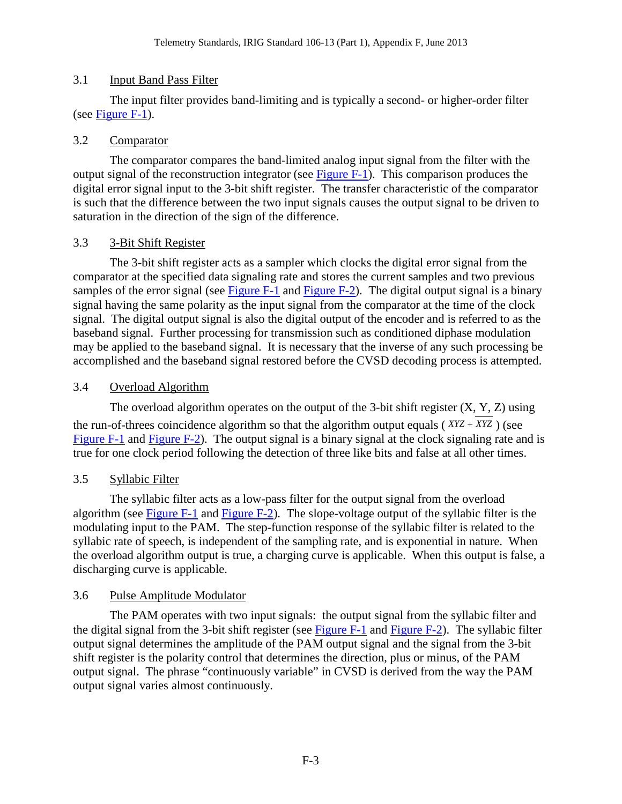#### <span id="page-6-0"></span>3.1 Input Band Pass Filter

The input filter provides band-limiting and is typically a second- or higher-order filter (see [Figure F-1\)](#page-4-3).

## <span id="page-6-1"></span>3.2 Comparator

The comparator compares the band-limited analog input signal from the filter with the output signal of the reconstruction integrator (see [Figure F-1\)](#page-4-3). This comparison produces the digital error signal input to the 3-bit shift register. The transfer characteristic of the comparator is such that the difference between the two input signals causes the output signal to be driven to saturation in the direction of the sign of the difference.

## <span id="page-6-2"></span>3.3 3-Bit Shift Register

The 3-bit shift register acts as a sampler which clocks the digital error signal from the comparator at the specified data signaling rate and stores the current samples and two previous samples of the error signal (see [Figure F-1](#page-4-3) and [Figure F-2\)](#page-4-4). The digital output signal is a binary signal having the same polarity as the input signal from the comparator at the time of the clock signal. The digital output signal is also the digital output of the encoder and is referred to as the baseband signal. Further processing for transmission such as conditioned diphase modulation may be applied to the baseband signal. It is necessary that the inverse of any such processing be accomplished and the baseband signal restored before the CVSD decoding process is attempted.

## <span id="page-6-3"></span>3.4 Overload Algorithm

The overload algorithm operates on the output of the 3-bit shift register  $(X, Y, Z)$  using the run-of-threes coincidence algorithm so that the algorithm output equals ( *XYZ* + *XYZ* ) (see [Figure F-1](#page-4-3) and [Figure](#page-4-4) F-2). The output signal is a binary signal at the clock signaling rate and is true for one clock period following the detection of three like bits and false at all other times.

## <span id="page-6-4"></span>3.5 Syllabic Filter

The syllabic filter acts as a low-pass filter for the output signal from the overload algorithm (see [Figure F-1](#page-4-3) and [Figure F-2\)](#page-4-4). The slope-voltage output of the syllabic filter is the modulating input to the PAM. The step-function response of the syllabic filter is related to the syllabic rate of speech, is independent of the sampling rate, and is exponential in nature. When the overload algorithm output is true, a charging curve is applicable. When this output is false, a discharging curve is applicable.

#### <span id="page-6-5"></span>3.6 Pulse Amplitude Modulator

The PAM operates with two input signals: the output signal from the syllabic filter and the digital signal from the 3-bit shift register (see [Figure F-1](#page-4-3) and [Figure F-2\)](#page-4-4). The syllabic filter output signal determines the amplitude of the PAM output signal and the signal from the 3-bit shift register is the polarity control that determines the direction, plus or minus, of the PAM output signal. The phrase "continuously variable" in CVSD is derived from the way the PAM output signal varies almost continuously.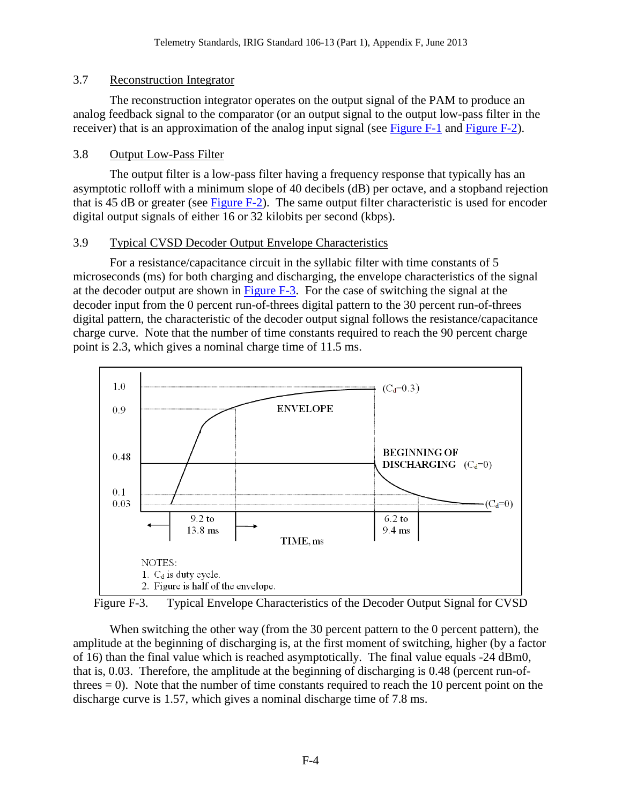#### <span id="page-7-0"></span>3.7 Reconstruction Integrator

The reconstruction integrator operates on the output signal of the PAM to produce an analog feedback signal to the comparator (or an output signal to the output low-pass filter in the receiver) that is an approximation of the analog input signal (see [Figure F-1](#page-4-3) and [Figure F-2\)](#page-4-4).

#### <span id="page-7-1"></span>3.8 Output Low-Pass Filter

The output filter is a low-pass filter having a frequency response that typically has an asymptotic rolloff with a minimum slope of 40 decibels (dB) per octave, and a stopband rejection that is 45 dB or greater (see [Figure F-2\)](#page-4-4). The same output filter characteristic is used for encoder digital output signals of either 16 or 32 kilobits per second (kbps).

#### <span id="page-7-2"></span>3.9 Typical CVSD Decoder Output Envelope Characteristics

For a resistance/capacitance circuit in the syllabic filter with time constants of 5 microseconds (ms) for both charging and discharging, the envelope characteristics of the signal at the decoder output are shown in [Figure F-3.](#page-7-3) For the case of switching the signal at the decoder input from the 0 percent run-of-threes digital pattern to the 30 percent run-of-threes digital pattern, the characteristic of the decoder output signal follows the resistance/capacitance charge curve. Note that the number of time constants required to reach the 90 percent charge point is 2.3, which gives a nominal charge time of 11.5 ms.



<span id="page-7-3"></span>Figure F-3. Typical Envelope Characteristics of the Decoder Output Signal for CVSD

When switching the other way (from the 30 percent pattern to the 0 percent pattern), the amplitude at the beginning of discharging is, at the first moment of switching, higher (by a factor of 16) than the final value which is reached asymptotically. The final value equals -24 dBm0, that is, 0.03. Therefore, the amplitude at the beginning of discharging is 0.48 (percent run-ofthrees  $= 0$ ). Note that the number of time constants required to reach the 10 percent point on the discharge curve is 1.57, which gives a nominal discharge time of 7.8 ms.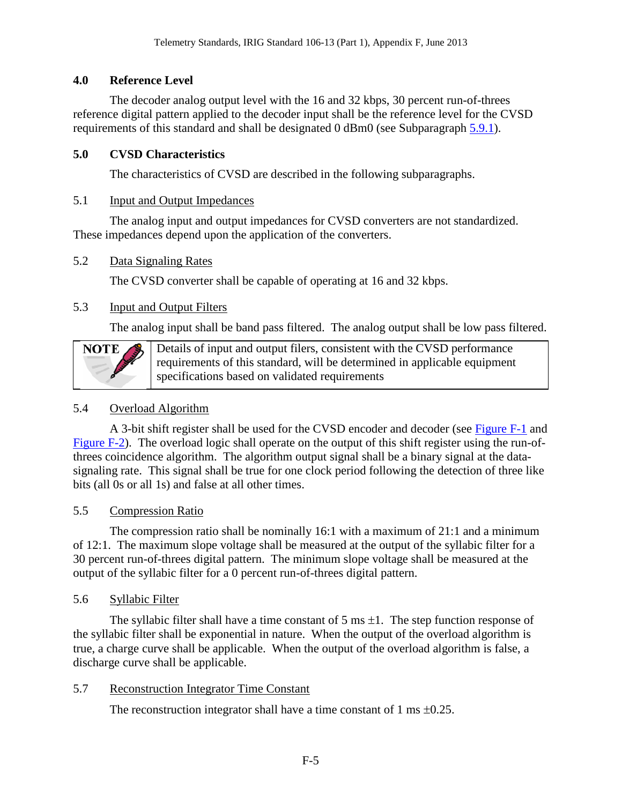#### <span id="page-8-0"></span>**4.0 Reference Level**

The decoder analog output level with the 16 and 32 kbps, 30 percent run-of-threes reference digital pattern applied to the decoder input shall be the reference level for the CVSD requirements of this standard and shall be designated 0 dBm0 (see Subparagraph [5.9.1\)](#page-9-4).

#### <span id="page-8-1"></span>**5.0 CVSD Characteristics**

The characteristics of CVSD are described in the following subparagraphs.

#### <span id="page-8-2"></span>5.1 Input and Output Impedances

The analog input and output impedances for CVSD converters are not standardized. These impedances depend upon the application of the converters.

#### <span id="page-8-3"></span>5.2 Data Signaling Rates

The CVSD converter shall be capable of operating at 16 and 32 kbps.

#### <span id="page-8-4"></span>5.3 Input and Output Filters

The analog input shall be band pass filtered. The analog output shall be low pass filtered.



Details of input and output filers, consistent with the CVSD performance requirements of this standard, will be determined in applicable equipment specifications based on validated requirements

#### <span id="page-8-5"></span>5.4 Overload Algorithm

A 3-bit shift register shall be used for the CVSD encoder and decoder (see [Figure F-1](#page-4-3) and [Figure F-2\)](#page-4-4). The overload logic shall operate on the output of this shift register using the run-ofthrees coincidence algorithm. The algorithm output signal shall be a binary signal at the datasignaling rate. This signal shall be true for one clock period following the detection of three like bits (all 0s or all 1s) and false at all other times.

#### <span id="page-8-6"></span>5.5 Compression Ratio

The compression ratio shall be nominally 16:1 with a maximum of 21:1 and a minimum of 12:1. The maximum slope voltage shall be measured at the output of the syllabic filter for a 30 percent run-of-threes digital pattern. The minimum slope voltage shall be measured at the output of the syllabic filter for a 0 percent run-of-threes digital pattern.

#### <span id="page-8-7"></span>5.6 Syllabic Filter

The syllabic filter shall have a time constant of 5 ms  $\pm 1$ . The step function response of the syllabic filter shall be exponential in nature. When the output of the overload algorithm is true, a charge curve shall be applicable. When the output of the overload algorithm is false, a discharge curve shall be applicable.

#### <span id="page-8-8"></span>5.7 Reconstruction Integrator Time Constant

The reconstruction integrator shall have a time constant of 1 ms  $\pm 0.25$ .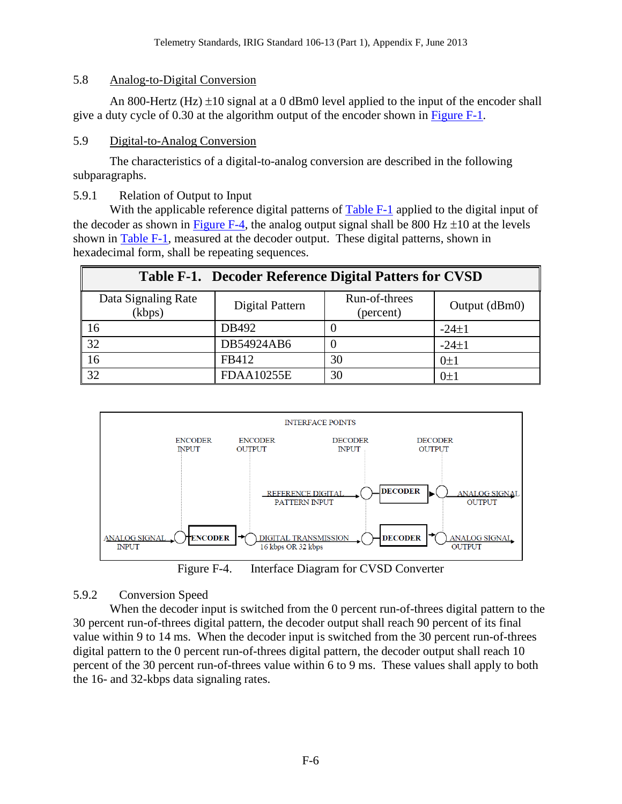#### <span id="page-9-0"></span>5.8 Analog-to-Digital Conversion

An 800-Hertz (Hz)  $\pm 10$  signal at a 0 dBm0 level applied to the input of the encoder shall give a duty cycle of 0.30 at the algorithm output of the encoder shown in [Figure F-1.](#page-4-3)

#### <span id="page-9-1"></span>5.9 Digital-to-Analog Conversion

The characteristics of a digital-to-analog conversion are described in the following subparagraphs.

#### <span id="page-9-4"></span>5.9.1 Relation of Output to Input

With the applicable reference digital patterns of [Table F-1](#page-9-3) applied to the digital input of the decoder as shown in [Figure F-4,](#page-9-2) the analog output signal shall be 800 Hz  $\pm 10$  at the levels shown in [Table F-1,](#page-9-3) measured at the decoder output. These digital patterns, shown in hexadecimal form, shall be repeating sequences.

<span id="page-9-3"></span>

| Table F-1. Decoder Reference Digital Patters for CVSD |                   |                            |               |
|-------------------------------------------------------|-------------------|----------------------------|---------------|
| Data Signaling Rate<br>(kbps)                         | Digital Pattern   | Run-of-threes<br>(percent) | Output (dBm0) |
| 16                                                    | DB492             |                            | $-24 \pm 1$   |
| 32                                                    | DB54924AB6        |                            | $-24 \pm 1$   |
| 16                                                    | FB412             | 30                         | $0 \pm 1$     |
| 32                                                    | <b>FDAA10255E</b> | 30                         | $0 \pm 1$     |



Figure F-4. Interface Diagram for CVSD Converter

## <span id="page-9-2"></span>5.9.2 Conversion Speed

When the decoder input is switched from the 0 percent run-of-threes digital pattern to the 30 percent run-of-threes digital pattern, the decoder output shall reach 90 percent of its final value within 9 to 14 ms. When the decoder input is switched from the 30 percent run-of-threes digital pattern to the 0 percent run-of-threes digital pattern, the decoder output shall reach 10 percent of the 30 percent run-of-threes value within 6 to 9 ms. These values shall apply to both the 16- and 32-kbps data signaling rates.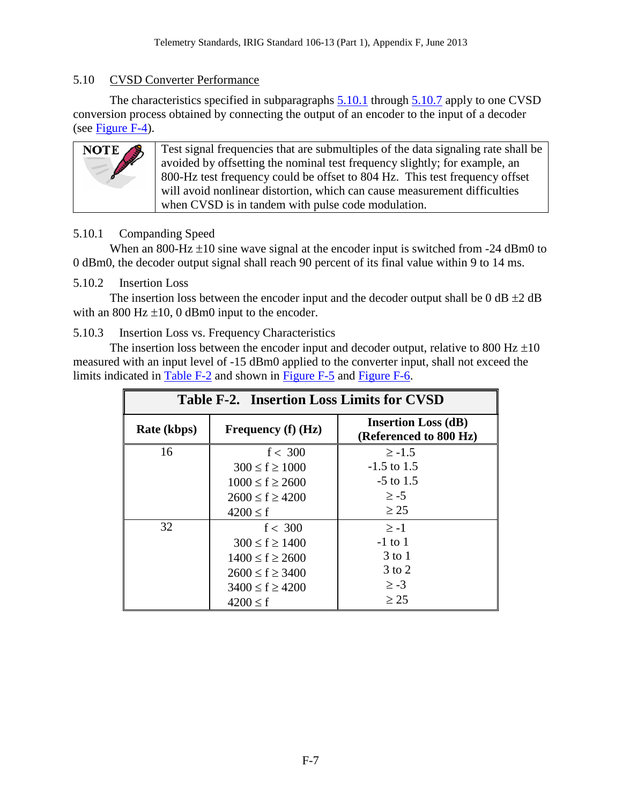## <span id="page-10-0"></span>5.10 CVSD Converter Performance

The characteristics specified in subparagraphs  $5.10.1$  through  $5.10.7$  apply to one CVSD conversion process obtained by connecting the output of an encoder to the input of a decoder (see  $Figure F-4$ ).



Test signal frequencies that are submultiples of the data signaling rate shall be avoided by offsetting the nominal test frequency slightly; for example, an 800-Hz test frequency could be offset to 804 Hz. This test frequency offset will avoid nonlinear distortion, which can cause measurement difficulties when CVSD is in tandem with pulse code modulation.

# 5.10.1 Companding Speed

When an 800-Hz  $\pm 10$  sine wave signal at the encoder input is switched from -24 dBm0 to 0 dBm0, the decoder output signal shall reach 90 percent of its final value within 9 to 14 ms.

# 5.10.2 Insertion Loss

The insertion loss between the encoder input and the decoder output shall be 0 dB  $\pm$ 2 dB with an 800 Hz  $\pm 10$ , 0 dBm0 input to the encoder.

# 5.10.3 Insertion Loss vs. Frequency Characteristics

The insertion loss between the encoder input and decoder output, relative to 800 Hz  $\pm 10$ measured with an input level of -15 dBm0 applied to the converter input, shall not exceed the limits indicated in [Table F-2](#page-10-1) and shown in [Figure F-5](#page-11-0) and [Figure F-6.](#page-11-1)

<span id="page-10-1"></span>

| Table F-2. Insertion Loss Limits for CVSD |                        |                                                      |  |
|-------------------------------------------|------------------------|------------------------------------------------------|--|
| <b>Rate (kbps)</b>                        | Frequency $(f)$ $(Hz)$ | <b>Insertion Loss (dB)</b><br>(Referenced to 800 Hz) |  |
| 16                                        | f < 300                | $\ge -1.5$                                           |  |
|                                           | $300 \le f \ge 1000$   | $-1.5$ to 1.5                                        |  |
|                                           | $1000 \le f \ge 2600$  | $-5$ to 1.5                                          |  |
|                                           | $2600 \le f \ge 4200$  | $\geq -5$                                            |  |
|                                           | $4200 \le f$           | > 25                                                 |  |
| 32                                        | f < 300                | $> -1$                                               |  |
|                                           | $300 \le f \ge 1400$   | $-1$ to 1                                            |  |
|                                           | $1400 \le f \ge 2600$  | $3$ to 1                                             |  |
|                                           | $2600 \le f \ge 3400$  | $3$ to $2$                                           |  |
|                                           | $3400 \le f \ge 4200$  | $\geq -3$                                            |  |
|                                           | $4200 \le f$           | $\geq$ 25                                            |  |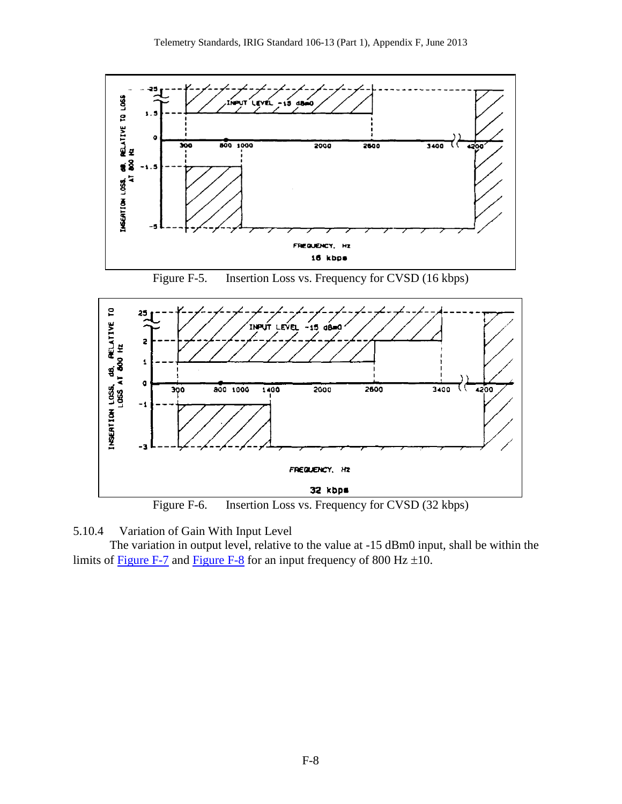<span id="page-11-0"></span>

Figure F-6. Insertion Loss vs. Frequency for CVSD (32 kbps)

#### <span id="page-11-1"></span>5.10.4 Variation of Gain With Input Level

The variation in output level, relative to the value at -15 dBm0 input, shall be within the limits of [Figure F-7](#page-12-0) and [Figure F-8](#page-12-1) for an input frequency of 800 Hz  $\pm 10$ .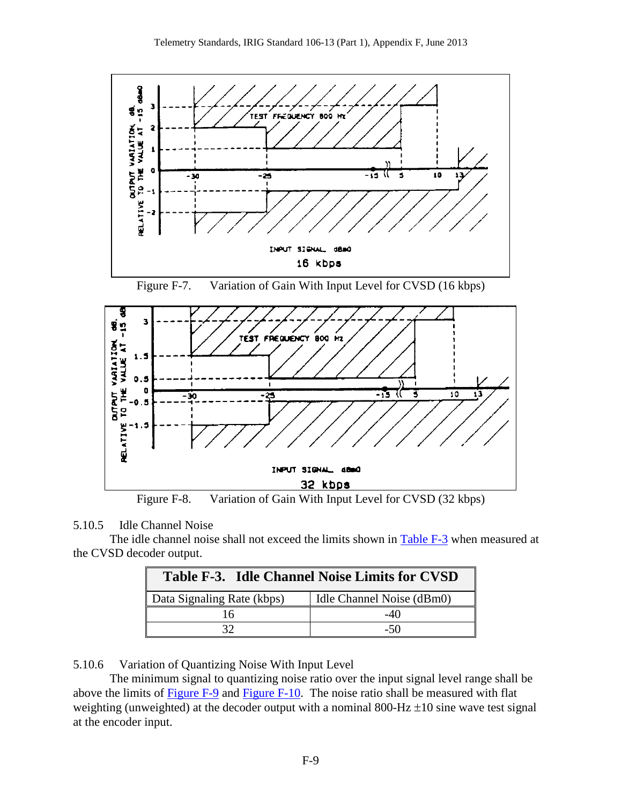<span id="page-12-0"></span>

Figure F-8. Variation of Gain With Input Level for CVSD (32 kbps)

<span id="page-12-1"></span>5.10.5 Idle Channel Noise

The idle channel noise shall not exceed the limits shown in [Table F-3](#page-12-2) when measured at the CVSD decoder output.

<span id="page-12-2"></span>

| Table F-3. Idle Channel Noise Limits for CVSD |                           |
|-----------------------------------------------|---------------------------|
| Data Signaling Rate (kbps)                    | Idle Channel Noise (dBm0) |
| 16                                            | $-40$                     |
| 37                                            | $-50$                     |

5.10.6 Variation of Quantizing Noise With Input Level

The minimum signal to quantizing noise ratio over the input signal level range shall be above the limits of [Figure F-9](#page-13-0) and [Figure F-10.](#page-13-1) The noise ratio shall be measured with flat weighting (unweighted) at the decoder output with a nominal 800-Hz  $\pm 10$  sine wave test signal at the encoder input.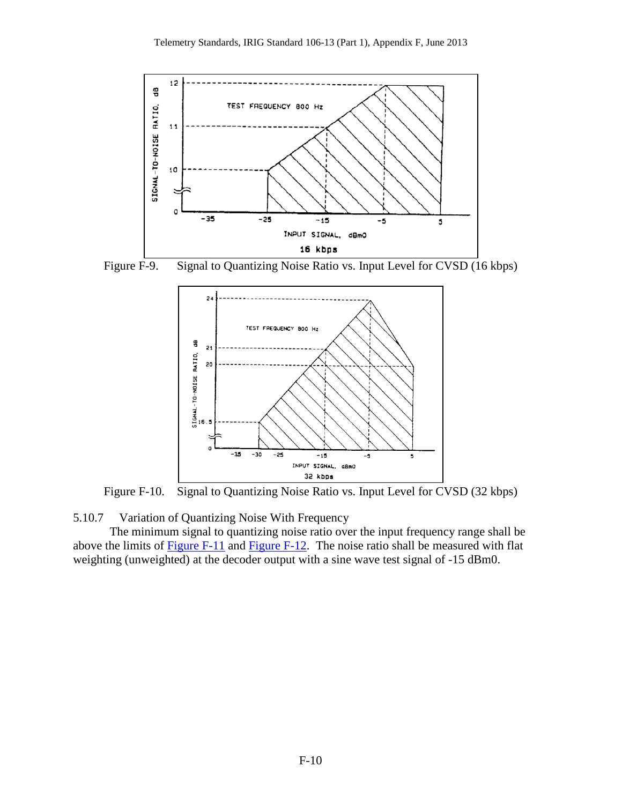

<span id="page-13-0"></span>

Figure F-10. Signal to Quantizing Noise Ratio vs. Input Level for CVSD (32 kbps)

<span id="page-13-1"></span>5.10.7 Variation of Quantizing Noise With Frequency

The minimum signal to quantizing noise ratio over the input frequency range shall be above the limits of  $Figure F-11$  and  $Figure F-12$ . The noise ratio shall be measured with flat weighting (unweighted) at the decoder output with a sine wave test signal of -15 dBm0.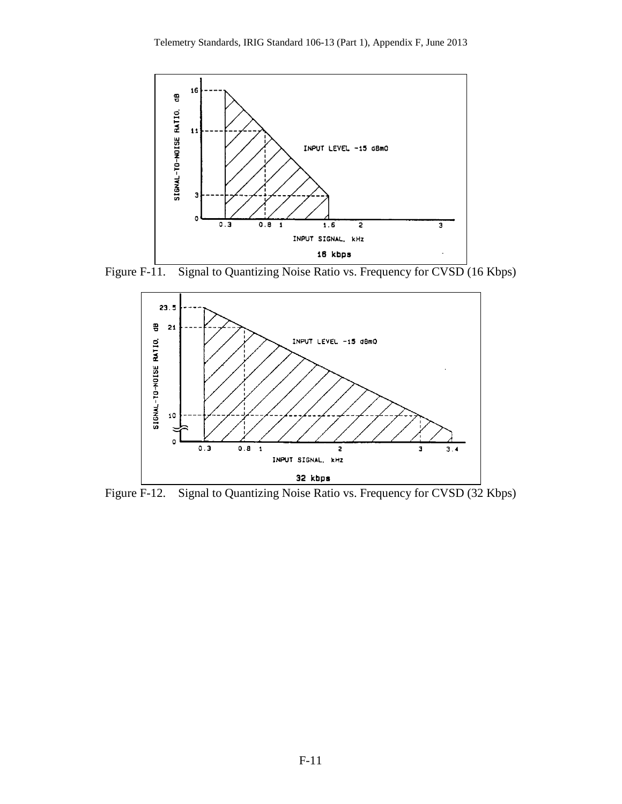

<span id="page-14-0"></span>Figure F-11. Signal to Quantizing Noise Ratio vs. Frequency for CVSD (16 Kbps)



<span id="page-14-1"></span>Figure F-12. Signal to Quantizing Noise Ratio vs. Frequency for CVSD (32 Kbps)